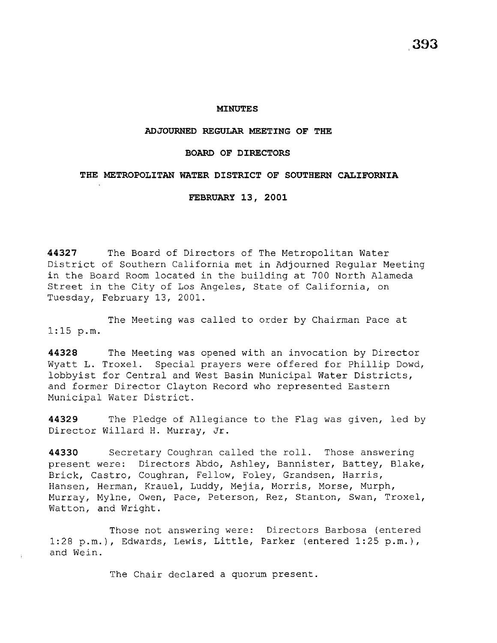**393** 

### **MINUTES**

### **ADJOURNED REGULAR MEETING OF THE**

### **BOARD OF DIRECTORS**

## **THE METROPOLITAN WATER DISTRICT OF SOUTHERN CALIFORNIA**

**FEBRUARY 13, 2001** 

**44327** The Board of Directors of The Metropolitan Water District of Southern California met in Adjourned Regular Meeting in the Board Room located in the building at 700 North Alameda Street in the City of Los Angeles, State of California, on Tuesday, February 13, 2001.

The Meeting was called to order by Chairman Pace at 1:15 p.m.

**44328** The Meeting was opened with an invocation by Director Wyatt L. Troxel. Special prayers were offered for Phillip Dowd, lobbyist for Central and West Basin Municipal Water Districts, and former Director Clayton Record who represented Eastern Municipal Water District.

**44329** The Pledge of Allegiance to the Flag was given, led by Director Willard H. Murray, Jr.

**44330** Secretary Coughran called the roll. Those answering present were: Directors Abdo, Ashley, Bannister, Battey, Blake, Brick, Castro, Coughran, Fellow, Foley, Grandsen, Harris, Hansen, Herman, Krauel, Luddy, Mejia, Morris, Morse, Murph, Murray, Mylne, Owen, Pace, Peterson, Rez, Stanton, Swan, Troxel, Watton, and Wright.

Those not answering were: Directors Barbosa (entered 1:28 p.m.), Edwards, Lewis, Little, Parker (entered 1:25 p.m.), and Wein.

The Chair declared a quorum present.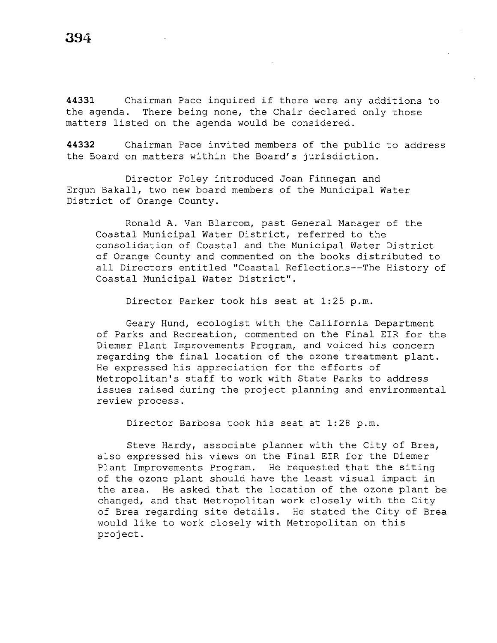**<sup>44331</sup>**Chairman Pace inquired if there were any additions to the agenda. There being none, the Chair declared only those matters listed on the agenda would be considered.

**44332** Chairman Pace invited members of the public to address the Board on matters within the Board's jurisdiction.

Director Foley introduced Joan Finnegan and Ergun Bakall, two new board members of the Municipal Water District of Orange County.

Ronald A. Van Blarcom, past General Manager of the Coastal Municipal Water District, referred to the consolidation of Coastal and the Municipal Water District of Orange County and commented on the books distributed to all Directors entitled ''Coastal Reflections--The History of Coastal Municipal Water District".

Director Parker took his seat at 1:25 p.m.

Geary Hund, ecologist with the California Department of Parks and Recreation, commented on the Final EIR for the Diemer Plant Improvements Program, and voiced his concern regarding the final location of the ozone treatment plant. He expressed his appreciation for the efforts of Metropolitan's staff to work with State Parks to address issues raised during the project planning and environmental review process.

Director Barbosa took his seat at 1:28 p.m.

Steve Hardy, associate planner with the City of Brea, also expressed his views on the Final EIR for the Diemer Plant Improvements Program. He requested that the siting of the ozone plant should have the least visual impact in the area. He asked that the location of the ozone plant be changed, and that Metropolitan work closely with the City of Brea regarding site details. He stated the City of Brea would like to work closely with Metropolitan on this project.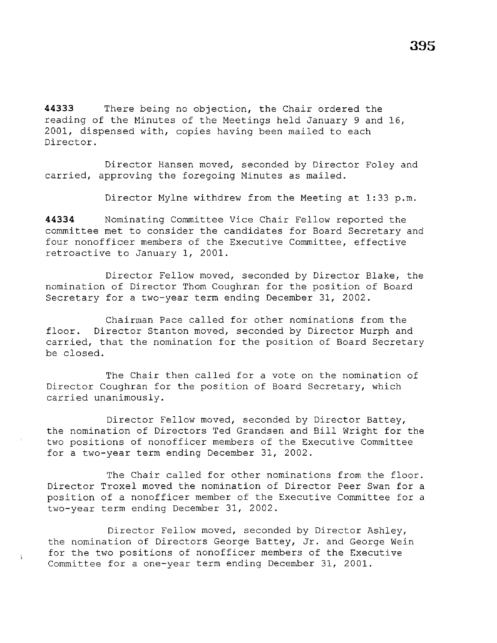**44333** There being no objection, the Chair ordered the

reading of the Minutes of the Meetings held January 9 and 16, 2001, dispensed with, copies having been mailed to each Director.

Director Hansen moved, seconded by Director Foley and carried, approving the foregoing Minutes as mailed.

Director Mylne withdrew from the Meeting at 1:33 p.m.

**44334** Nominating Committee Vice Chair Fellow reported the committee met to consider the candidates for Board Secretary and four nonofficer members of the Executive Committee, effective retroactive to January 1, 2001.

Director Fellow moved, seconded by Director Blake, the nomination of Director Thom Coughran for the position of Board Secretary for a two-year term ending December 31, 2002.

Chairman Pace called for other nominations from the floor. Director Stanton moved, seconded by Director Murph and carried, that the nomination for the position of Board Secretary be closed.

The Chair then called for a vote on the nomination of Director Coughran for the position of Board Secretary, which carried unanimously.

Director Fellow moved, seconded by Director Battey, the nomination of Directors Ted Grandsen and Bill Wright for the two positions of nonofficer members of the Executive Committee for a two-year term ending December 31, 2002.

The Chair called for other nominations from the floor. Director Troxel moved the nomination of Director Peer Swan for a position of a nonofficer member of the Executive Committee for a two-year term ending December 31, 2002.

Director Fellow moved, seconded by Director Ashley, the nomination of Directors George Battey, Jr. and George Wein for the two positions of nonofficer members of the Executive Committee for a one-year term ending December 31, 2001.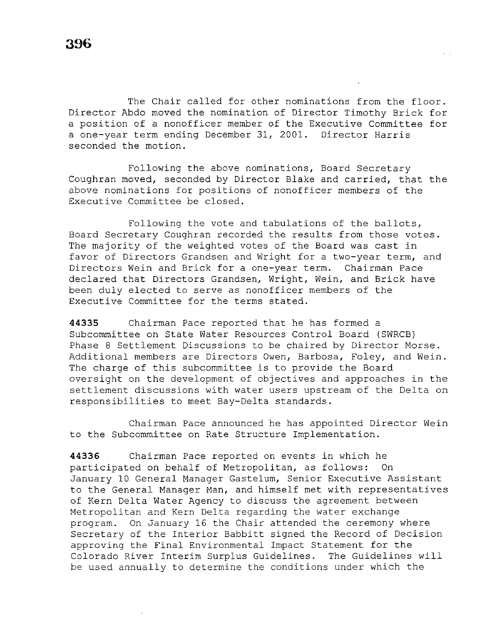The Chair called for other nominations from the floor. Director Abdo moved the nomination of Director Timothy Brick for a position of a nonofficer member of the Executive Committee for a one-year term ending December 31, 2001. Director Harris seconded the motion.

Following the above nominations, Board Secretary Coughran moved, seconded by Director Blake and carried, that the above nominations for positions of nonofficer members of the Executive Committee be closed.

Following the vote and tabulations of the ballots, Board Secretary Coughran recorded the results from those votes. The majority of the weighted votes of the Board was cast in favor of Directors Grandsen and Wright for a two-year term, and Directors Wein and Brick for a one-year term. Chairman Pace declared that Directors Grandsen, Wright, Wein, and Brick have been duly elected to serve as nonofficer members of the Executive Committee for the terms stated.

**44335** Chairman Pace reported that he has formed a Subcommittee on State Water Resources Control Board (SWRCB) Phase 8 Settlement Discussions to be chaired by Director Morse. Additional members are Directors Owen, Barbosa, Foley, and Wein. The charge of this subcommittee is to provide the Board oversight on the development of objectives and approaches in the settlement discussions with water users upstream of the Delta on responsibilities to meet Bay-Delta standards.

Chairman Pace announced he has appointed Director Wein to the Subcommittee on Rate Structure Implementation.

**44336** Chairman Pace reported on events in which he participated on behalf of Metropolitan, as follows: On January 10 General Manager Gastelum, Senior Executive Assistant to the General Manager Man, and himself met with representatives of Kern Delta Water Agency to discuss the agreement between Metropolitan and Kern Delta regarding the water exchange program. On January 16 the Chair attended the ceremony where Secretary of the Interior Babbitt signed the Record of Decision approving the Final Environmental Impact Statement for the Colorado River Interim Surplus Guidelines. The Guidelines will be used annually to determine the conditions under which the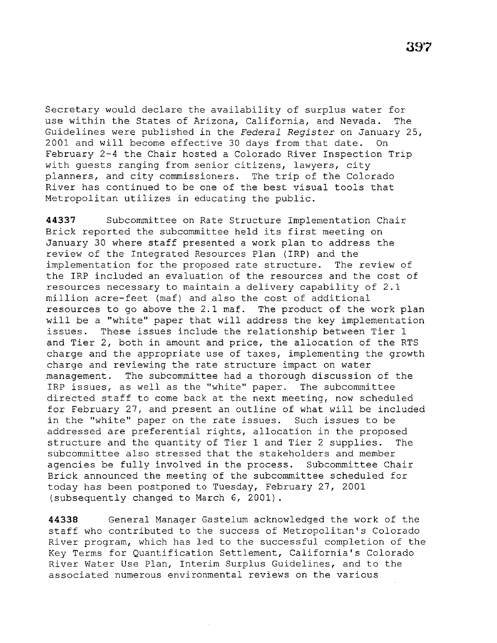Secretary would declare the availability of surplus water for use within the States of Arizona, California, and Nevada. The Guidelines were published in the *Federal Register* on January 25, 2001 and will become effective 30 days from that date. On February 2-4 the Chair hosted a Colorado River Inspection Trip with guests ranging from senior citizens, lawyers, city planners, and city commissioners. The trip of the Colorado River has continued to be one of the best visual tools that Metropolitan utilizes in educating the public.

**44337** Subcommittee on Rate Structure Implementation Chair Brick reported the subcommittee held its first meeting on January 30 where staff presented a work plan to address the review of the Integrated Resources Plan (IRP) and the implementation for the proposed rate structure. The review of the IRP included an evaluation of the resources and the cost of resources necessary to maintain a delivery capability of 2.1 million acre-feet (maf} and also the cost of additional resources to go above the 2.1 maf. The product of the work plan will be a "white" paper that will address the key implementation issues. These issues include the relationship between Tier 1 and Tier 2, both in amount and price, the allocation of the RTS charge and the appropriate use of taxes, implementing the growth charge and reviewing the rate structure impact on water management. The subcommittee had a thorough discussion of the IRP issues, as well as the "white" paper. The subcommittee directed staff to come back at the next meeting, now scheduled for February 27, and present an outline of what will be included in the ''white'' paper on the rate issues. Such issues to be addressed are preferential rights, allocation in the proposed structure and the quantity of Tier 1 and Tier 2 supplies. The subcommittee also stressed that the stakeholders and member agencies be fully involved in the process. Subcommittee Chair Brick announced the meeting of the subcommittee scheduled for today has been postponed to Tuesday, February 27, 2001 (subsequently changed to March 6, 2001}.

**44338** General Manager Gastelum acknowledged the work of the staff who contributed to the success of Metropolitan's Colorado River program, which has led to the successful completion of the Key Terms for Quantification Settlement, California's Colorado River Water Use Plan, Interim Surplus Guidelines, and to the associated numerous environmental reviews on the various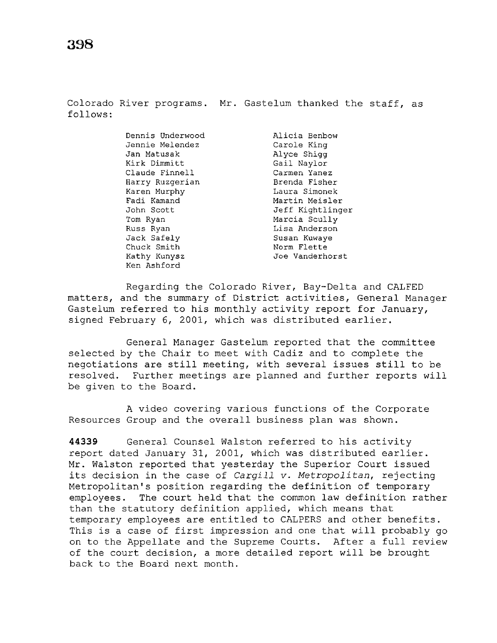Colorado River programs. Mr. Gastelum thanked the staff, as follows:

> Dennis Underwood Jennie Melendez Jan Matusak Kirk Dimmitt Claude Finnell Harry Ruzgerian Karen Murphy Fadi Kamand John Scott Tom Ryan<br>Russ Ryan Russ Ryan Jack Safely Chuck Smith Kathy Kunysz Ken Ashford

Alicia Benbow Carole King Alyce Shigg<br>Gail Naylor Gail Naylor Carmen Yanez Brenda Fisher Laura Simonek Martin Meisler Jeff Kightlinger Marcia Scully Lisa Anderson Susan Kuwaye Norm Flette Joe Vanderhorst

Regarding the Colorado River, Bay-Delta and CALFED matters, and the summary of District activities, General Manager Gastelum referred to his monthly activity report for January, signed February 6, 2001, which was distributed earlier.

General Manager Gastelum reported that the committee selected by the Chair to meet with Cadiz and to complete the negotiations are still meeting, with several issues still to be resolved. Further meetings are planned and further reports will be given to the Board.

A video covering various functions of the Corporate Resources Group and the overall business plan was shown.

**44339** General Counsel Walston referred to his activity report dated January 31, 2001, which was distributed earlier. Mr. Walston reported that yesterday the Superior Court issued its decision in the case of *Cargill v. Metropolitan,* rejecting Metropolitan's position regarding the definition of temporary employees. The court held that the common law definition rather than the statutory definition applied, which means that temporary employees are entitled to CALPERS and other benefits. This is a case of first impression and one that will probably go on to the Appellate and the Supreme Courts. After a full review of the court decision, a more detailed report will be brought back to the Board next month.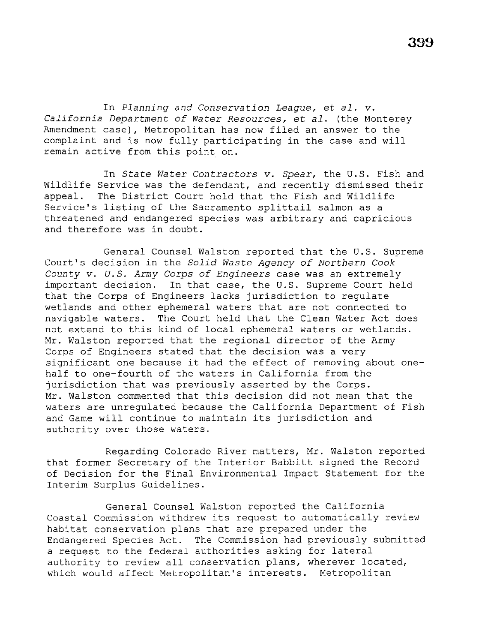In *Planning and Conservation League, et al. v. California Department of Water Resources, et al.* (the Monterey Amendment case), Metropolitan has now filed an answer to the complaint and *is* now fully participating in the case and will remain active from this point on.

In *State Water Contractors v. Spear,* the U.S. Fish and Wildlife Service was the defendant, and recently dismissed their appeal. The District Court held that the Fish and Wildlife Service's listing of the Sacramento splittail salmon as a threatened and endangered species was arbitrary and capricious and therefore was in doubt.

General Counsel Walston reported that the U.S. Supreme Court's decision in the *Solid Waste Agency of Northern Cook County v. U.S. Army Corps of Engineers* case was an extremely important decision. In that case, the U.S. Supreme Court held that the Corps of Engineers lacks jurisdiction to regulate wetlands and other ephemeral waters that are not connected to navigable waters. The Court held that the Clean Water Act does not extend to this kind of local ephemeral waters or wetlands. Mr. Walston reported that the regional director of the Army Corps of Engineers stated that the decision was a very significant one because it had the effect of removing about onehalf to one-fourth of the waters in California from the jurisdiction that was previously asserted by the Corps. Mr. Walston commented that this decision did not mean that the waters are unregulated because the California Department of Fish and Game will continue to maintain its jurisdiction and authority over those waters.

Regarding Colorado River matters, Mr. Walston reported that former Secretary of the Interior Babbitt signed the Record of Decision for the Final Environmental Impact Statement for the Interim Surplus Guidelines.

General Counsel Walston reported the California Coastal Commission withdrew its request to automatically review habitat conservation plans that are prepared under the Endangered Species Act. The Commission had previously submitted a request to the federal authorities asking for lateral authority to review all conservation plans, wherever located, which would affect Metropolitan's interests. Metropolitan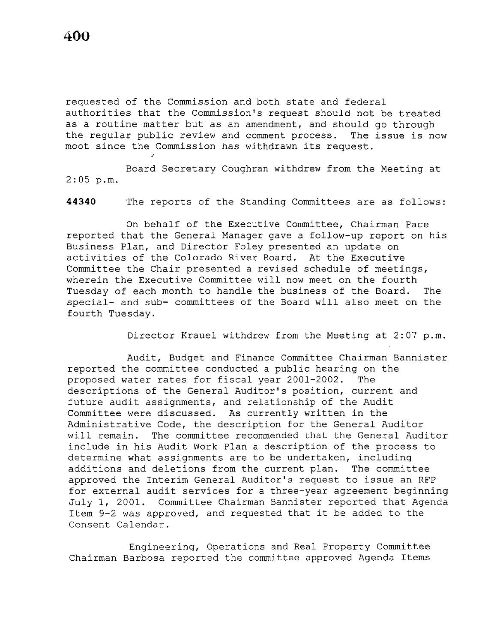J

requested of the Commission and both state and federal authorities that the Commission's request should not be treated as a routine matter but as an amendment, and should go through the regular public review and comment process. The issue is now moot since the Commission has withdrawn its request.

Board Secretary Coughran withdrew from the Meeting at 2:05 p.m.

**44340** The reports of the Standing Committees are as follows:

On behalf of the Executive Committee, Chairman Pace reported that the General Manager gave a follow-up report on his Business Plan, and Director Foley presented an update on activities of the Colorado River Board. At the Executive Committee the Chair presented a revised schedule of meetings, wherein the Executive Committee will now meet on the fourth Tuesday of each month to handle the business of the Board. The special- and sub- committees of the Board will also meet on the fourth Tuesday.

Director Krauel withdrew from the Meeting at 2:07 p.m.

Audit, Budget and Finance Committee Chairman Bannister reported the committee conducted a public hearing on the proposed water rates for fiscal year 2001-2002. The descriptions of the General Auditor's position, current and future audit assignments, and relationship of the Audit Committee were discussed. As currently written in the Administrative Code, the description for the General Auditor will remain. The committee recommended that the General Auditor include in his Audit Work Plan a description of the process to determine what assignments are to be undertaken, including additions and deletions from the current plan. The committee approved the Interim General Auditor's request to issue an RFP for external audit services for a three-year agreement beginning July 1, 2001. Committee Chairman Bannister reported that Agenda Item 9-2 was approved, and requested that it be added to the Consent Calendar.

Engineering, Operations and Real Property Committee Chairman Barbosa reported the committee approved Agenda Items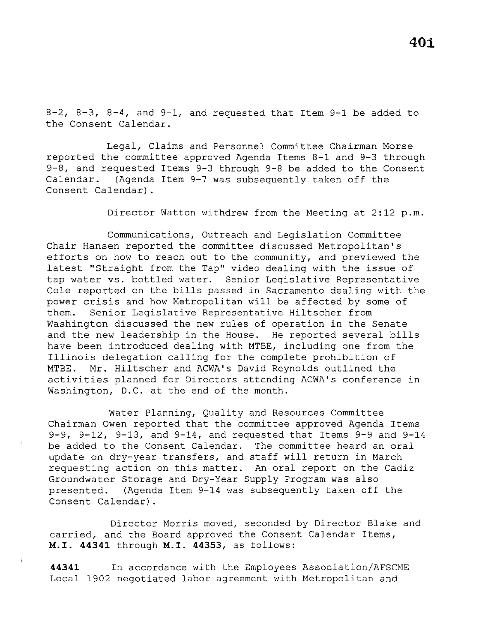$8-2$ ,  $8-3$ ,  $8-4$ , and  $9-1$ , and requested that Item  $9-1$  be added to the Consent Calendar.

Legal, Claims and Personnel Committee Chairman Morse reported the committee approved Agenda Items 8-1 and 9-3 through 9-8, and requested Items 9-3 through 9-8 be added to the Consent Calendar. (Agenda Item 9-7 was subsequently taken off the Consent Calendar) .

Director Watton withdrew from the Meeting at 2:12 p.m.

Communications, Outreach and Legislation Committee Chair Hansen reported the committee discussed Metropolitan's efforts on how to reach out to the community, and previewed the latest ''Straight from the Tap'' video dealing with the issue of tap water vs. bottled water. Senior Legislative Representative Cole reported on the bills passed in Sacramento dealing with the power crisis and how Metropolitan will be affected by some of them. Senior Legislative Representative Hiltscher from Washington discussed the new rules of operation in the Senate and the new leadership in the House. He reported several bills have been introduced dealing with MTBE, including one from the Illinois delegation calling for the complete prohibition of MTBE. Mr. Hiltscher and ACWA's David Reynolds outlined the activities planned for Directors attending ACWA's conference in Washington, D.C. at the end of the month.

Water Planning, Quality and Resources Committee Chairman Owen reported that the committee approved Agenda Items 9-9, 9-12, 9-13, and 9-14, and requested that Items 9-9 and 9-14 be added to the Consent Calendar. The committee heard an oral update on dry-year transfers, and staff will return in March requesting action on this matter. An oral report on the Cadiz Groundwater Storage and Dry-Year Supply Program was also presented. (Agenda Item 9-14 was subsequently taken off the Consent Calendar) .

Director Morris moved, seconded by Director Blake and carried, and the Board approved the Consent Calendar Items, **M.I. 44341** through M.I. **44353,** as follows:

**44341** In accordance with the Employees Association/AFSCME Local 1902 negotiated labor agreement with Metropolitan and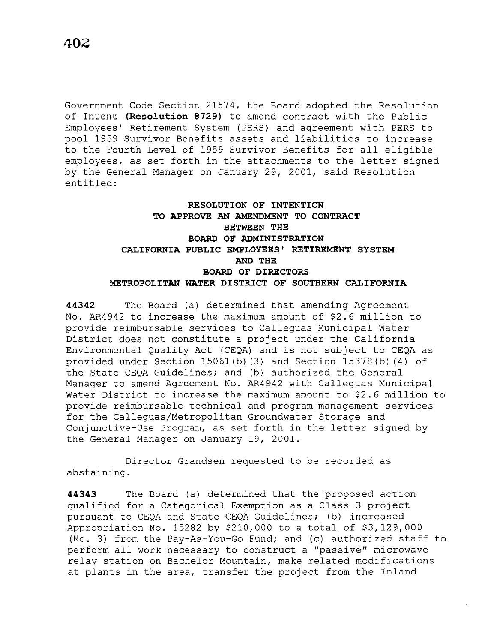Government Code Section 21574, the Board adopted the Resolution of Intent **(Resolution 8729)** to amend contract with the Public Employees' Retirement System (PERS) and agreement with PERS to pool 1959 Survivor Benefits assets and liabilities to increase to the Fourth Level of 1959 Survivor Benefits for all eligible employees, as set forth in the attachments to the letter signed by the General Manager on January 29, 2001, said Resolution entitled:

# **RESOLUTION OF INTENTION TO APPROVE AN AMENDMENT TO CONTRACT BETWEEN THE BOARD OF ADMINISTRATION CALIFORNIA PUBLIC EMPLOYEES' RETIREMENT SYSTEM AND THE BOARD OF DIRECTORS METROPOLITAN WATER DISTRICT OF SOUTHERN CALIFORNIA**

**44342** The Board (a) determined that amending Agreement No. AR4942 to increase the maximum amount of \$2.6 million to provide reimbursable services to Calleguas Municipal Water District does not constitute a project under the California Environmental Quality Act (CEQA) and is not subject to CEQA as provided under Section 15061 (b) (3) and Section 15378 (b) (4) of the State CEQA Guidelines; and (b) authorized the General Manager to amend Agreement No. AR4942 with Calleguas Municipal Water District to increase the maximum amount to \$2.6 million to provide reimbursable technical and program management services for the Calleguas/Metropolitan Groundwater Storage and Conjunctive-Use Program, as set forth in the letter signed by the General Manager on January 19, 2001.

Director Grandsen requested to be recorded as abstaining.

**44343** The Board (a) determined that the proposed action qualified for a Categorical Exemption as a Class 3 project pursuant to CEQA and State CEQA Guidelines; (b) increased Appropriation No. 15282 by \$210,000 to a total of \$3,129,000 (No. 3) from the Pay-As-You-Go Fund; and (c) authorized staff to perform all work necessary to construct a "passive" microwave relay station on Bachelor Mountain, make related modifications at plants in the area, transfer the project from the Inland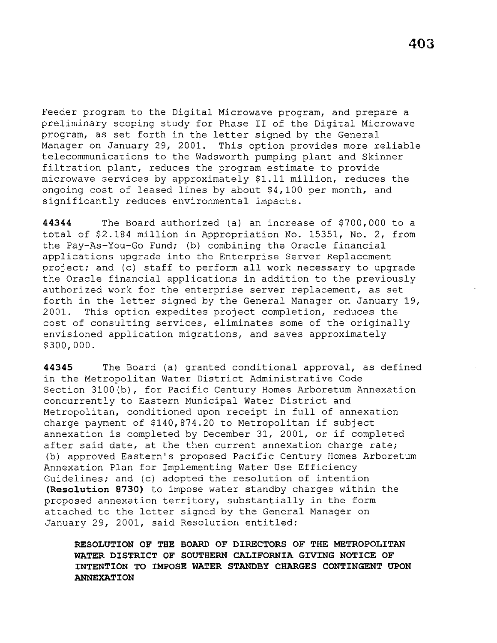Feeder program to the Digital Microwave program, and prepare a preliminary scoping study for Phase II of the Digital Microwave program, as set forth in the letter signed by the General Manager on January 29, 2001. This option provides more reliable telecommunications to the Wadsworth pumping plant and Skinner filtration plant, reduces the program estimate to provide microwave services by approximately \$1.11 million, reduces the ongoing cost of leased lines by about \$4,100 per month, and significantly reduces environmental impacts.

**44344** The Board authorized (a) an increase of \$700,000 to a total of \$2.184 million in Appropriation No. 15351, No. 2, from the Pay-As-You-Go Fund; (b) combining the Oracle financial applications upgrade into the Enterprise Server Replacement project; and (c) staff to perform all work necessary to upgrade the Oracle financial applications in addition to the previously authorized work for the enterprise server replacement, as set forth in the letter signed by the General Manager on January 19, 2001. This option expedites project completion, reduces the cost of consulting services, eliminates some of the originally envisioned application migrations, and saves approximately \$300,000.

**44345** The Board (a) granted conditional approval, as defined in the Metropolitan Water District Administrative Code Section 3100(b), for Pacific Century Homes Arboretum Annexation concurrently to Eastern Municipal Water District and Metropolitan, conditioned upon receipt in full of annexation charge payment of \$140,874.20 to Metropolitan if subject annexation is completed by December 31, 2001, or if completed after said date, at the then current annexation charge rate; (b) approved Eastern's proposed Pacific Century Homes Arboretum Annexation Plan for Implementing Water Use Efficiency Guidelines; and (c) adopted the resolution of intention **(Resolution 8730)** to impose water standby charges within the proposed annexation territory, substantially in the form attached to the letter signed by the General Manager on January 29, 2001, said Resolution entitled:

**RESOLUTION OF THE BOARD OF DIRECTORS OF THE METROPOLITAN WATER DISTRICT OF SOUTHERN CALIFORNIA GIVING NOTICE OF INTENTION TO IMPOSE WATER STANDBY CHARGES CONTINGENT UPON ANNEXATION**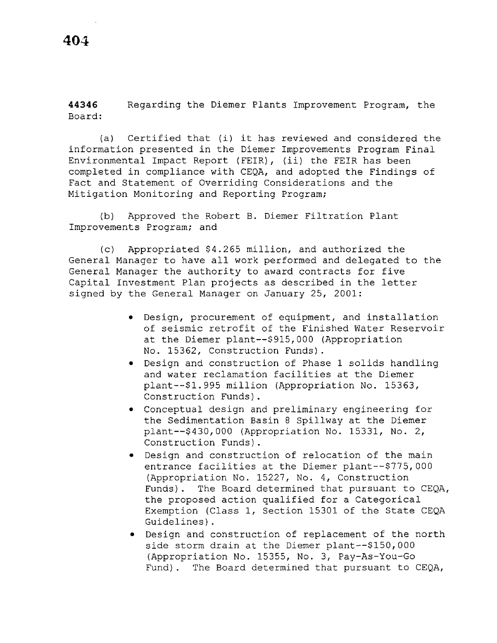**44346**  Board: Regarding the Diemer Plants Improvement Program, the

(a) Certified that (i) it has reviewed and considered the information presented in the Diemer Improvements Program Final Environmental Impact Report (FEIR), (ii) the FEIR has been completed in compliance with CEQA, and adopted the Findings of Fact and Statement of Overriding Considerations and the Mitigation Monitoring and Reporting Program;

(b) Approved the Robert B. Diemer Filtration Plant Improvements Program; and

(c) Appropriated \$4.265 million, and authorized the General Manager to have all work performed and delegated to the General Manager the authority to award contracts for five Capital Investment Plan projects as described in the letter signed by the General Manager on January 25, 2001:

- Design, procurement of equipment, and installation of seismic retrofit of the Finished Water Reservoir at the Diemer plant--\$915,000 (Appropriation No. 15362, Construction Funds).
- Design and construction of Phase 1 solids handling and water reclamation facilities at the Diemer plant--\$1.995 million (Appropriation No. 15363, Construction Funds).
- Conceptual design and preliminary engineering for the Sedimentation Basin 8 Spillway at the Diemer plant--\$430,000 (Appropriation No. 15331, No. 2, Construction Funds).
- Design and construction of relocation of the main entrance facilities at the Diemer plant--\$775,000 (Appropriation No. 15227, No. 4, Construction Funds). The Board determined that pursuant to CEQA, the proposed action qualified for a Categorical Exemption (Class 1, Section 15301 of the State CEQA Guidelines).
- Design and construction of replacement of the north side storm drain at the Diemer plant--\$150,000 (Appropriation No. 15355, No. 3, Pay-As-You-Go Fund) . The Board determined that pursuant to CEQA,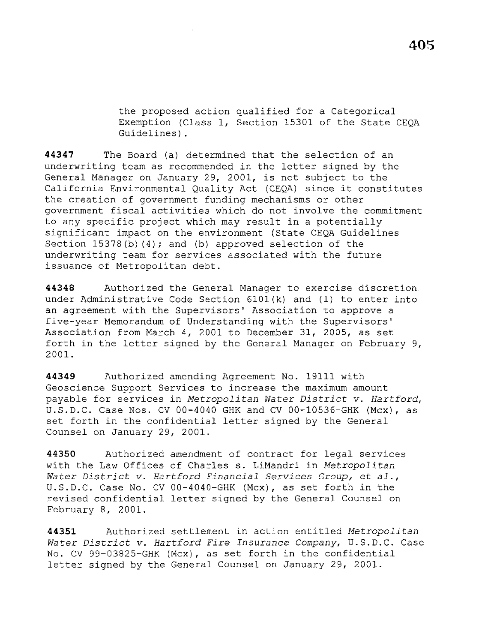the proposed action qualified for a Categorical Exemption (Class 1, Section 15301 of the State CEQA Guidelines).

**44347** The Board (a) determined that the selection of an underwriting team as recommended in the letter signed by the General Manager on January 29, 2001, is not subject to the California Environmental Quality Act (CEQA) since it constitutes the creation of government funding mechanisms or other government fiscal activities which do not involve the commitment to any specific project which may result in a potentially significant impact on the environment (State CEQA Guidelines Section  $15378(b)$  (4); and (b) approved selection of the underwriting team for services associated with the future issuance of Metropolitan debt.

**44348** Authorized the General Manager to exercise discretion under Administrative Code Section 610l(k) and (1) to enter into an agreement with the Supervisors' Association to approve a five-year Memorandum of Understanding with the Supervisors' Association from March 4, 2001 to December 31, 2005, as set forth in the letter signed by the General Manager on February 9, 2001.

**44349** Authorized amending Agreement No. 19111 with Geoscience Support Services to increase the maximum amount payable for services in *Metropolitan Water District v. Hartford,*  U.S.D.C. Case Nos. CV 00-4040 GHK and CV 00-10536-GHK (Mcx), as set forth in the confidential letter signed by the General Counsel on January 29, 2001.

**44350** Authorized amendment of contract for legal services with the Law Offices of Charles s. LiMandri in *Metropolitan Water District v. Hartford Financial Services Group,* et *al.,*  U.S.D.C. Case No. CV 00-4040-GHK (Mcx), as set forth in the revised confidential letter signed by the General Counsel on February 8, 2001.

**44351** Authorized settlement in action entitled *Metropolitan Water District v. Hartford Fire Insurance Company,* U.S.D.C. Case No. CV 99-03825-GHK (Mcx), as set forth in the confidential letter signed by the General Counsel on January 29, 2001.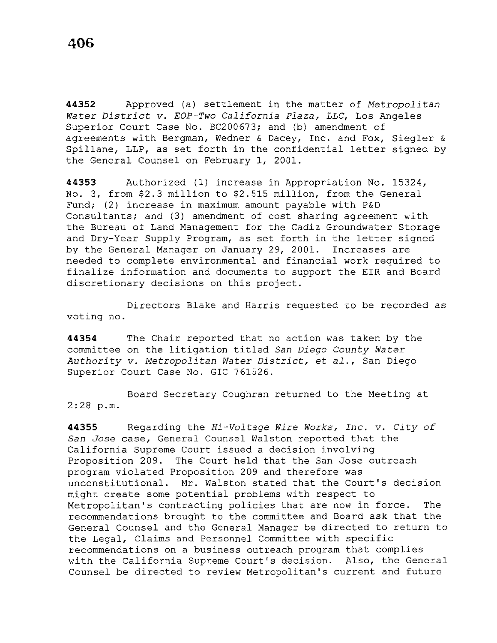**44352** Approved (a) settlement in the matter of *Metropolitan Water District v. EOP-Two California Plaza, LLC,* Los Angeles Superior Court Case No. BC200673; and (b) amendment of agreements with Bergman, Wedner & Dacey, Inc. and Fox, Siegler & Spillane, LLP, as set forth in the confidential letter signed by the General Counsel on February 1, 2001.

**44353** Authorized (1) increase in Appropriation No. 15324, No. 3, from \$2.3 million to \$2.515 million, from the General Fund; (2) increase in maximum amount payable with P&D Consultants; and (3) amendment of cost sharing agreement with the Bureau of Land Management for the Cadiz Groundwater Storage and Dry-Year Supply Program, as set forth in the letter signed by the General Manager on January 29, 2001. Increases are needed to complete environmental and financial work required to finalize information and documents to support the EIR and Board discretionary decisions on this project.

Directors Blake and Harris requested to be recorded as voting no.

**44354** The Chair reported that no action was taken by the committee on the litigation titled *San Diego County Water Authority v. Metropolitan Water District,* et *al.,* San Diego Superior Court Case No. GIC 761526.

Board Secretary Coughran returned to the Meeting at 2:28 p.m.

**44355** Regarding the *Hi-Voltage Wire Works, Inc. v. City of San Jose* case, General Counsel Walston reported that the California Supreme Court issued a decision involving Proposition 209. The Court held that the San Jose outreach program violated Proposition 209 and therefore was unconstitutional. Mr. Walston stated that the Court's decision might create some potential problems with respect to Metropolitan's contracting policies that are now in force. The recommendations brought to the committee and Board ask that the General Counsel and the General Manager be directed to return to the Legal, Claims and Personnel Committee with specific recommendations on a business outreach program that complies with the California Supreme Court's decision. Also, the General Counsel be directed to review Metropolitan's current and future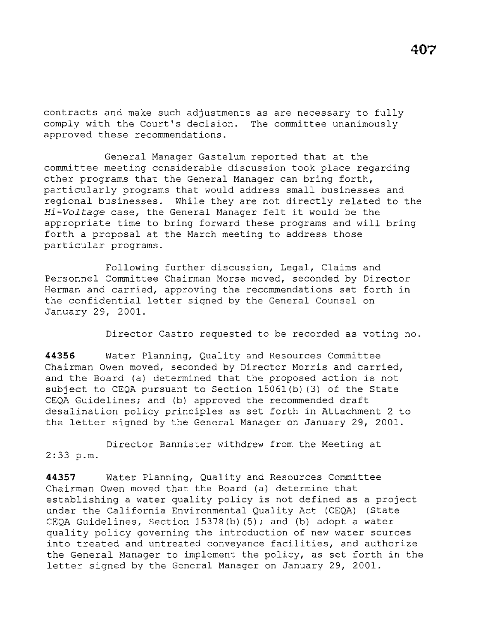contracts and make such adjustments as are necessary to fully comply with the Court's decision. The committee unanimously approved these recommendations.

General Manager Gastelum reported that at the committee meeting considerable discussion took place regarding other programs that the General Manager can bring forth, particularly programs that would address small businesses and regional businesses. While they are not directly related to the *Hi-Voltage* case, the General Manager felt it would be the appropriate time to bring forward these programs and will bring forth a proposal at the March meeting to address those particular programs.

Following further discussion, Legal, Claims and Personnel Committee Chairman Morse moved, seconded by Director Herman and carried, approving the recommendations set forth in the confidential letter signed by the General Counsel on January 29, 2001.

Director Castro requested to be recorded as voting no.

**44356** Water Planning, Quality and Resources Committee Chairman Owen moved, seconded by Director Morris and carried, and the Board (a) determined that the proposed action is not subject to CEQA pursuant to Section 15061(b) (3) of the State CEQA Guidelines; and (b) approved the recommended draft desalination policy principles as set forth in Attachment 2 to the letter signed by the General Manager on January 29, 2001.

Director Bannister withdrew from the Meeting at 2:33 p.m.

**44357** Water Planning, Quality and Resources Committee Chairman Owen moved that the Board (a) determine that establishing a water quality policy is not defined as a project under the California Environmental Quality Act (CEQA) (State CEQA Guidelines, Section 15378(b) (5); and (b) adopt a water quality policy governing the introduction of new water sources into treated and untreated conveyance facilities, and authorize the General Manager to implement the policy, as set forth in the letter signed by the General Manager on January 29, 2001.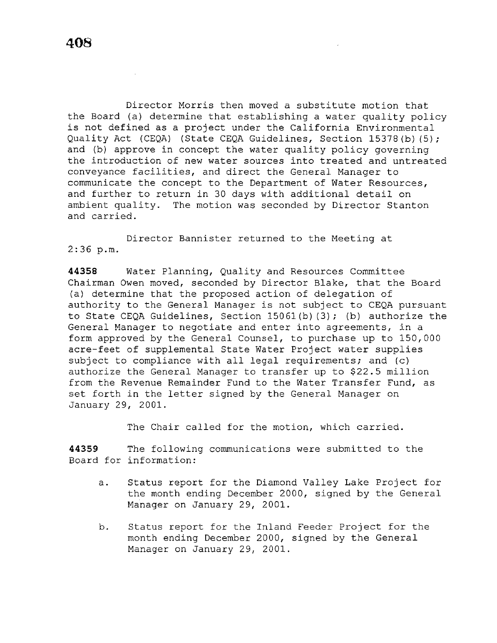Director Morris then moved a substitute motion that the Board (a) determine that establishing a water quality policy is not defined as a project under the California Environmental Quality Act (CEQA) (State CEQA Guidelines, Section 15378 (b) (5); and (b) approve in concept the water quality policy governing the introduction of new water sources into treated and untreated conveyance facilities, and direct the General Manager to communicate the concept to the Department of Water Resources, and further to return in 30 days with additional detail on ambient quality. The motion was seconded by Director Stanton and carried.

Director Bannister returned to the Meeting at  $2:36$  p.m.

**44358** Water Planning, Quality and Resources Committee Chairman Owen moved, seconded by Director Blake, that the Board (a) determine that the proposed action of delegation of authority to the General Manager is not subject to CEQA pursuant to State CEQA Guidelines, Section 15061 {b) (3); (b) authorize the General Manager to negotiate and enter into agreements, in a form approved by the General Counsel, to purchase up to 150,000 acre-feet of supplemental State Water Project water supplies subject to compliance with all legal requirements; and (c) authorize the General Manager to transfer up to \$22.5 million from the Revenue Remainder Fund to the Water Transfer Fund, as set forth in the letter signed by the General Manager on January 29, 2001.

The Chair called for the motion, which carried.

**44359** The following communications were submitted to the Board for information:

- a. Status report for the Diamond Valley Lake Project for the month ending December 2000, signed by the General Manager on January 29, 2001.
- b. Status report for the Inland Feeder Project for the month ending December 2000, signed by the General Manager on January 29, 2001.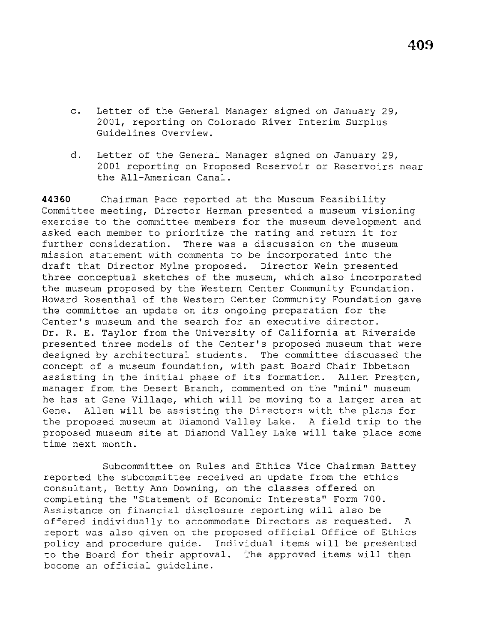**409** 

- c. Letter of the General Manager signed on January 29, 2001, reporting on Colorado River Interim Surplus Guidelines Overview.
- d. Letter of the General Manager signed on January 29, 2001 reporting on Proposed Reservoir or Reservoirs near the All-American Canal.

**44360** Chairman Pace reported at the Museum Feasibility Committee meeting, Director Herman presented a museum visioning exercise to the committee members for the museum development and asked each member to prioritize the rating and return it for further consideration. There was a discussion on the museum mission statement with comments to be incorporated into the draft that Director Mylne proposed. Director Wein presented three conceptual sketches of the museum, which also incorporated the museum proposed by the Western Center Community Foundation. Howard Rosenthal of the Western Center Community Foundation gave the committee an update on its ongoing preparation for the Center's museum and the search for an executive director. Dr. R. E. Taylor from the University of California at Riverside presented three models of the Center's proposed museum that were designed by architectural students. The committee discussed the concept of a museum foundation, with past Board Chair Ibbetson assisting in the initial phase of its formation. Allen Preston, manager from the Desert Branch, commented on the "mini" museum he has at Gene Village, which will be moving to a larger area at Gene. Allen will be assisting the Directors with the plans for the proposed museum at Diamond Valley Lake. A field trip to the proposed museum site at Diamond Valley Lake will take place some time next month.

Subcommittee on Rules and Ethics Vice Chairman Battey reported the subcommittee received an update from the ethics consultant, Betty Ann Downing, on the classes offered on completing the "Statement of Economic Interests" Form 700. Assistance on financial disclosure reporting will also be offered individually to accommodate Directors as requested. A report was also given on the proposed official Office of Ethics policy and procedure guide. Individual items will be presented to the Board for their approval. The approved items will then become an official guideline.